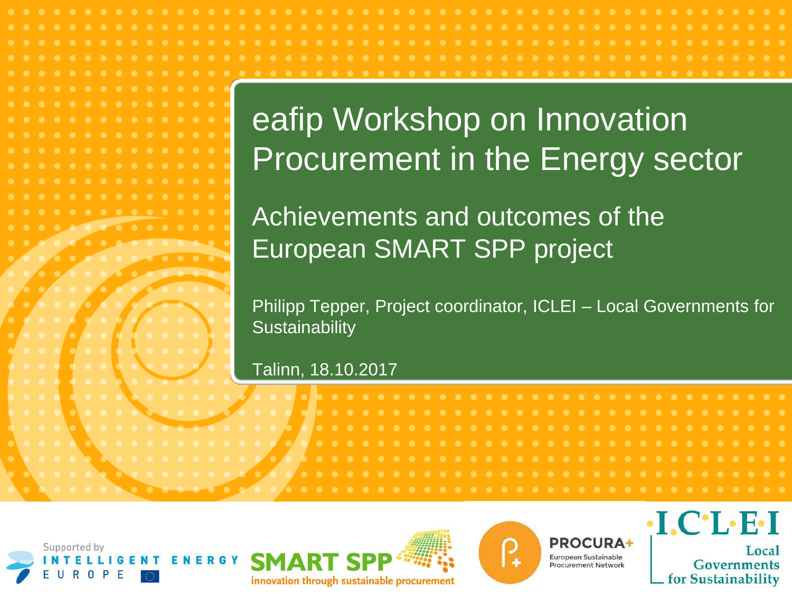# eafip Workshop on Innovation Procurement in the Energy sector

Achievements and outcomes of the European SMART SPP project

Philipp Tepper, Project coordinator, ICLEI – Local Governments for **Sustainability** 

#### Talinn, 18.10.2017







**PROCURA+** European Sustainable **Procurement Network** 

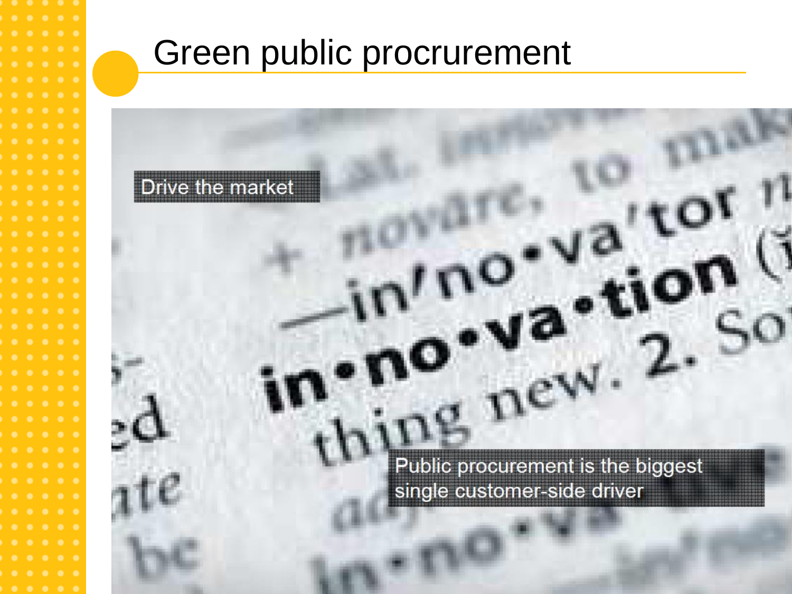## Green public procrurement

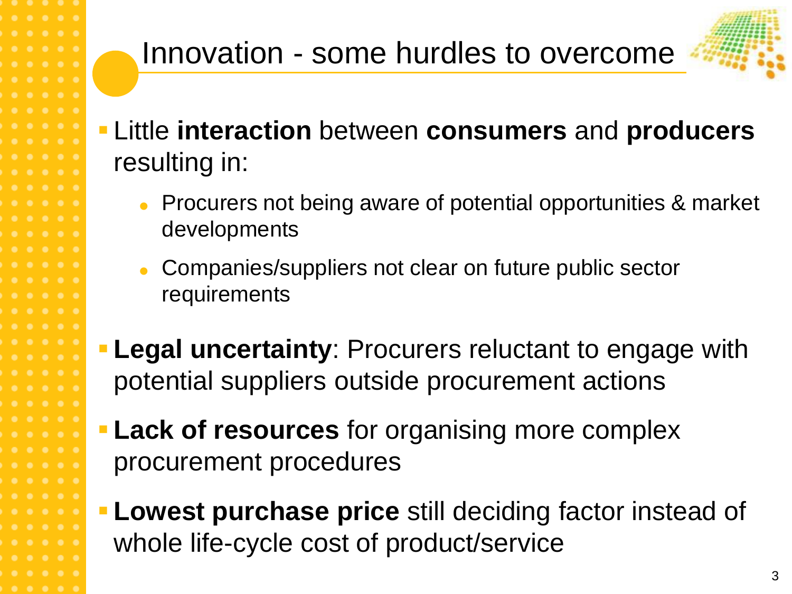

- Little **interaction** between **consumers** and **producers** resulting in:
	- **Procurers not being aware of potential opportunities & market** developments
	- Companies/suppliers not clear on future public sector requirements
- **Legal uncertainty**: Procurers reluctant to engage with potential suppliers outside procurement actions
- **Lack of resources** for organising more complex procurement procedures
	- **Lowest purchase price** still deciding factor instead of whole life-cycle cost of product/service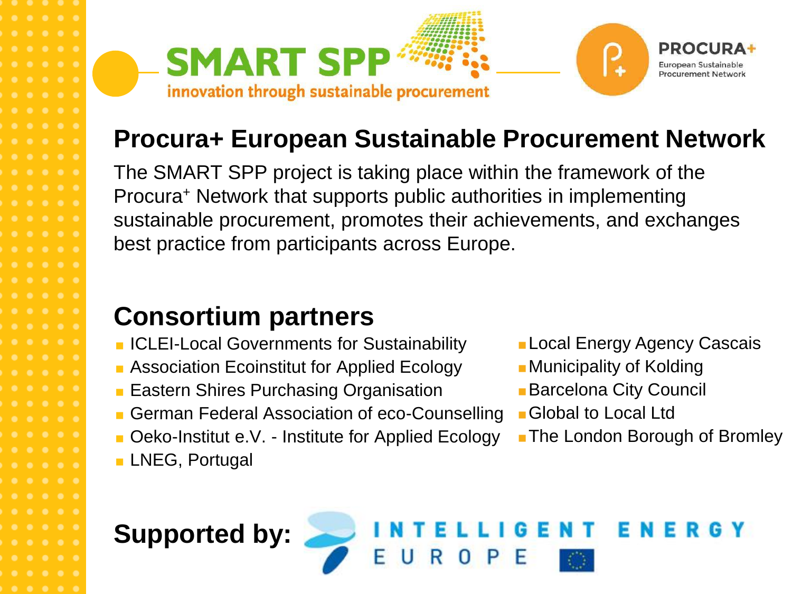

#### **Procura+ European Sustainable Procurement Network**

The SMART SPP project is taking place within the framework of the Procura<sup>+</sup> Network that supports public authorities in implementing sustainable procurement, promotes their achievements, and exchanges best practice from participants across Europe.

#### **Consortium partners**

- **ICLEI-Local Governments for Sustainability**
- **Association Ecoinstitut for Applied Ecology**
- **Eastern Shires Purchasing Organisation**
- German Federal Association of eco-Counselling
- **Deko-Institut e.V. Institute for Applied Ecology**
- **LNEG, Portugal**
- **Local Energy Agency Cascais**
- **Municipality of Kolding**
- **Barcelona City Council**
- Global to Local Ltd
- **The London Borough of Bromley**

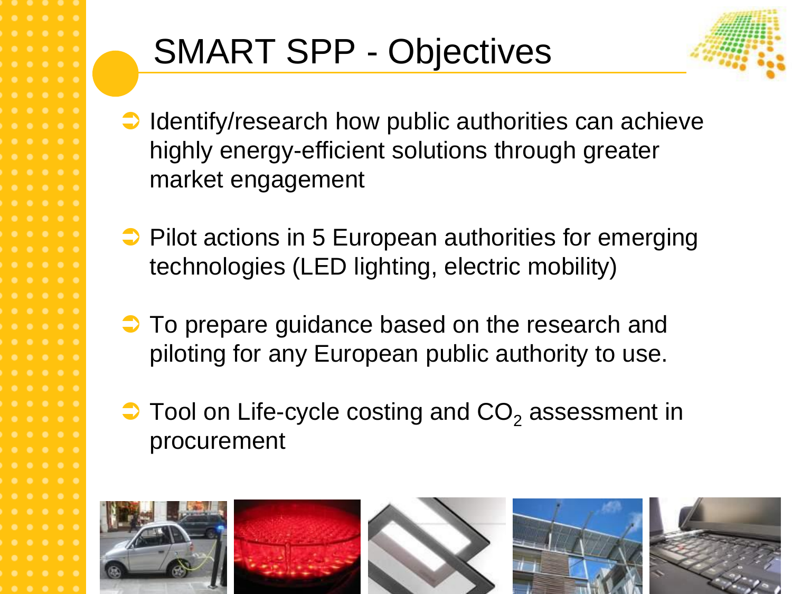# SMART SPP - Objectives



- $\rightarrow$  Identify/research how public authorities can achieve highly energy-efficient solutions through greater market engagement
- $\supset$  Pilot actions in 5 European authorities for emerging technologies (LED lighting, electric mobility)
- $\supset$  To prepare guidance based on the research and piloting for any European public authority to use.
- $\supset$  Tool on Life-cycle costing and  $CO<sub>2</sub>$  assessment in procurement

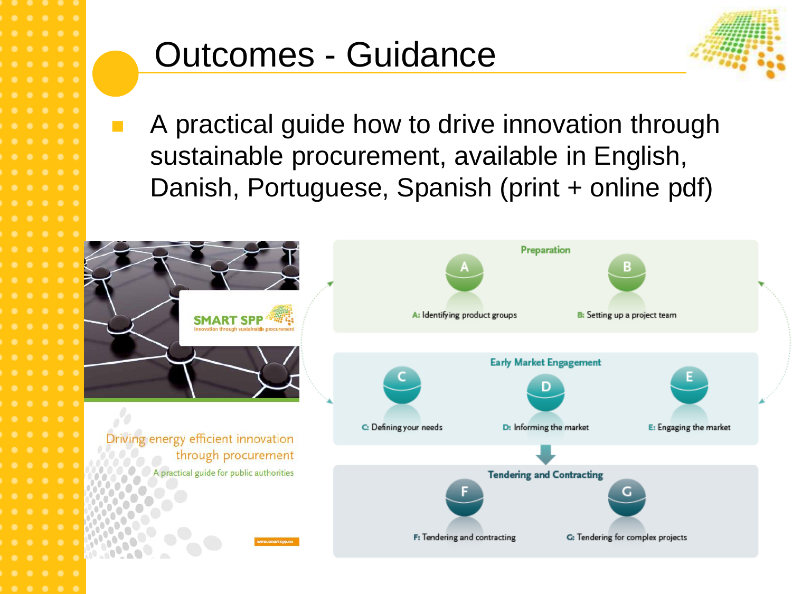## Outcomes - Guidance



 A practical guide how to drive innovation through sustainable procurement, available in English, Danish, Portuguese, Spanish (print + online pdf)

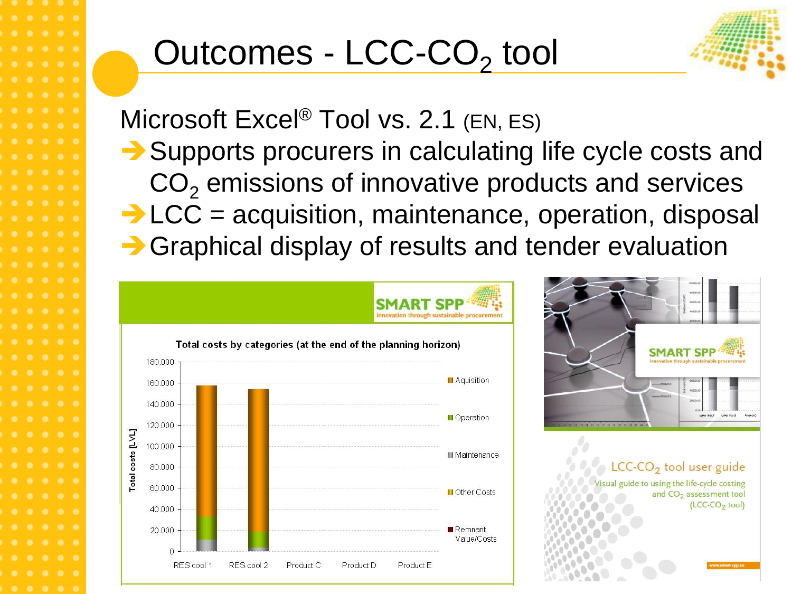# Outcomes - LCC-CO<sub>2</sub> tool



Microsoft Excel<sup>®</sup> Tool vs. 2.1 (EN, ES)

Supports procurers in calculating life cycle costs and  $CO<sub>2</sub>$  emissions of innovative products and services  $\rightarrow$  LCC = acquisition, maintenance, operation, disposal **→ Graphical display of results and tender evaluation** 



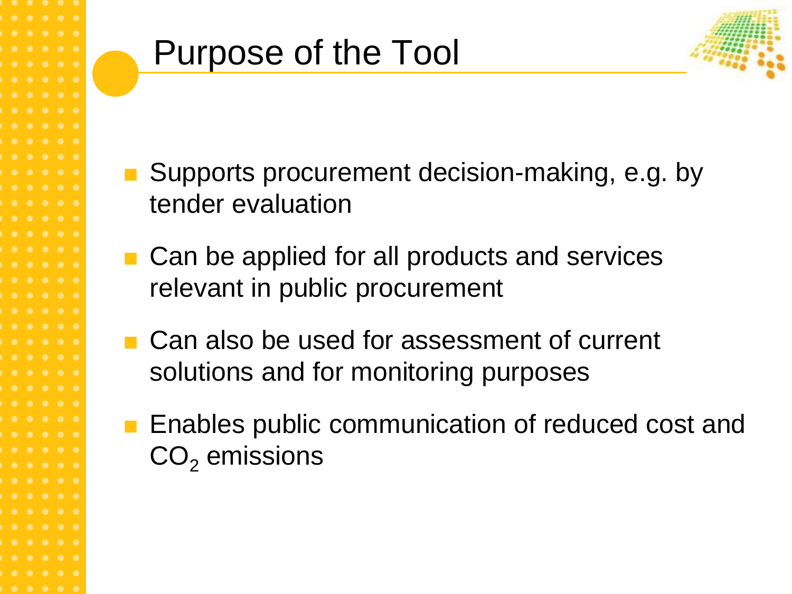

- Supports procurement decision-making, e.g. by tender evaluation
- Can be applied for all products and services relevant in public procurement
- Can also be used for assessment of current solutions and for monitoring purposes
- **E** Enables public communication of reduced cost and  $CO<sub>2</sub>$  emissions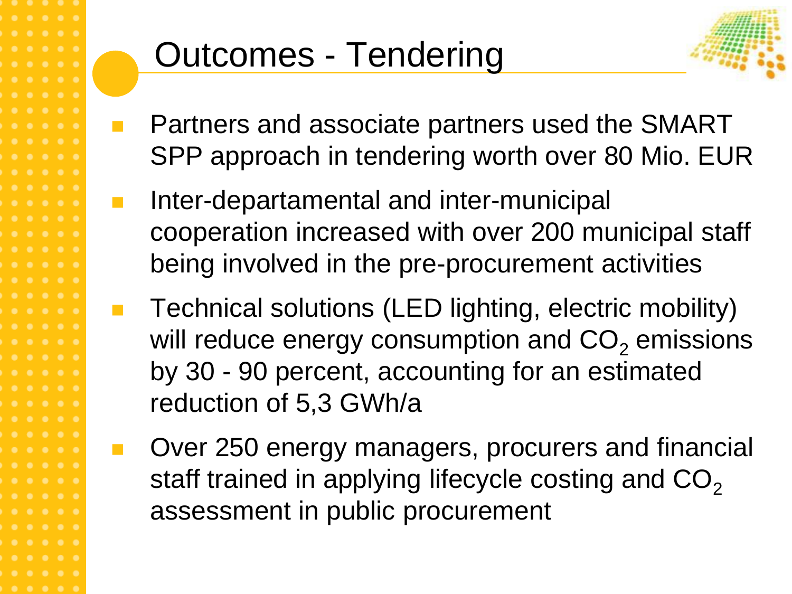## Outcomes - Tendering



- Partners and associate partners used the SMART SPP approach in tendering worth over 80 Mio. EUR
- Inter-departamental and inter-municipal cooperation increased with over 200 municipal staff being involved in the pre-procurement activities
- Technical solutions (LED lighting, electric mobility) will reduce energy consumption and  $CO<sub>2</sub>$  emissions by 30 - 90 percent, accounting for an estimated reduction of 5,3 GWh/a
- Over 250 energy managers, procurers and financial staff trained in applying lifecycle costing and  $CO<sub>2</sub>$ assessment in public procurement